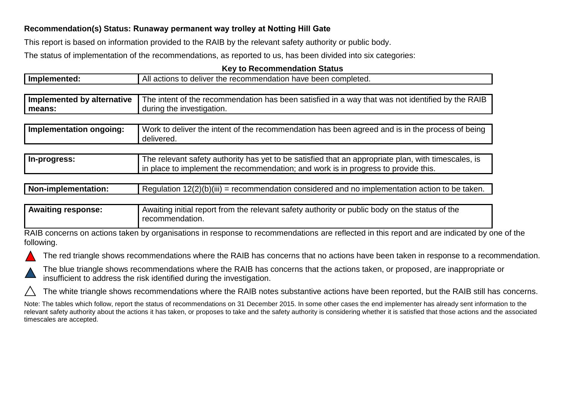## **Recommendation(s) Status: Runaway permanent way trolley at Notting Hill Gate**

This report is based on information provided to the RAIB by the relevant safety authority or public body.

The status of implementation of the recommendations, as reported to us, has been divided into six categories:

## **Key to Recommendation Status**

| Implemented:               | All actions to deliver the recommendation have been completed.                                                                                                                            |  |
|----------------------------|-------------------------------------------------------------------------------------------------------------------------------------------------------------------------------------------|--|
|                            |                                                                                                                                                                                           |  |
| Implemented by alternative | The intent of the recommendation has been satisfied in a way that was not identified by the RAIB                                                                                          |  |
| means:                     | during the investigation.                                                                                                                                                                 |  |
|                            |                                                                                                                                                                                           |  |
| Implementation ongoing:    | Work to deliver the intent of the recommendation has been agreed and is in the process of being<br>delivered.                                                                             |  |
|                            |                                                                                                                                                                                           |  |
| In-progress:               | The relevant safety authority has yet to be satisfied that an appropriate plan, with timescales, is<br>in place to implement the recommendation; and work is in progress to provide this. |  |

| Non-implementation: | $12(2)(b)(iii) =$<br>= recommendation considered and no implementation action to be taken.<br>Requiation |
|---------------------|----------------------------------------------------------------------------------------------------------|
|                     |                                                                                                          |

## Awaiting response: **Awaiting initial report from the relevant safety authority or public body on the status of the** recommendation.

RAIB concerns on actions taken by organisations in response to recommendations are reflected in this report and are indicated by one of the following.





The blue triangle shows recommendations where the RAIB has concerns that the actions taken, or proposed, are inappropriate or insufficient to address the risk identified during the investigation.

The white triangle shows recommendations where the RAIB notes substantive actions have been reported, but the RAIB still has concerns.

Note: The tables which follow, report the status of recommendations on 31 December 2015. In some other cases the end implementer has already sent information to the relevant safety authority about the actions it has taken, or proposes to take and the safety authority is considering whether it is satisfied that those actions and the associated timescales are accepted.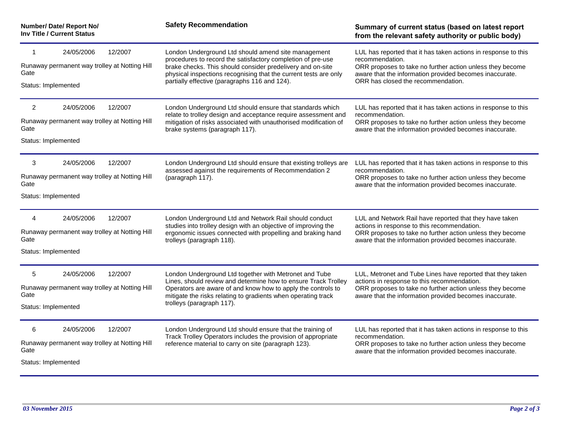| Number/ Date/ Report No/<br>Inv Title / Current Status<br>12/2007<br>24/05/2006<br>1<br>Runaway permanent way trolley at Notting Hill<br>Gate<br>Status: Implemented |                                                                        | <b>Safety Recommendation</b><br>London Underground Ltd should amend site management<br>procedures to record the satisfactory completion of pre-use<br>brake checks. This should consider predelivery and on-site<br>physical inspections recognising that the current tests are only<br>partially effective (paragraphs 116 and 124). | Summary of current status (based on latest report<br>from the relevant safety authority or public body)<br>LUL has reported that it has taken actions in response to this<br>recommendation.<br>ORR proposes to take no further action unless they become<br>aware that the information provided becomes inaccurate.<br>ORR has closed the recommendation. |
|----------------------------------------------------------------------------------------------------------------------------------------------------------------------|------------------------------------------------------------------------|---------------------------------------------------------------------------------------------------------------------------------------------------------------------------------------------------------------------------------------------------------------------------------------------------------------------------------------|------------------------------------------------------------------------------------------------------------------------------------------------------------------------------------------------------------------------------------------------------------------------------------------------------------------------------------------------------------|
|                                                                                                                                                                      |                                                                        |                                                                                                                                                                                                                                                                                                                                       |                                                                                                                                                                                                                                                                                                                                                            |
| 12/2007<br>3<br>24/05/2006<br>Runaway permanent way trolley at Notting Hill<br>Gate<br>Status: Implemented                                                           |                                                                        | London Underground Ltd should ensure that existing trolleys are<br>assessed against the requirements of Recommendation 2<br>(paragraph 117).                                                                                                                                                                                          | LUL has reported that it has taken actions in response to this<br>recommendation.<br>ORR proposes to take no further action unless they become<br>aware that the information provided becomes inaccurate.                                                                                                                                                  |
| $\overline{4}$<br>Gate<br>Status: Implemented                                                                                                                        | 12/2007<br>24/05/2006<br>Runaway permanent way trolley at Notting Hill | London Underground Ltd and Network Rail should conduct<br>studies into trolley design with an objective of improving the<br>ergonomic issues connected with propelling and braking hand<br>trolleys (paragraph 118).                                                                                                                  | LUL and Network Rail have reported that they have taken<br>actions in response to this recommendation.<br>ORR proposes to take no further action unless they become<br>aware that the information provided becomes inaccurate.                                                                                                                             |
| 5<br>Gate<br>Status: Implemented                                                                                                                                     | 24/05/2006<br>12/2007<br>Runaway permanent way trolley at Notting Hill | London Underground Ltd together with Metronet and Tube<br>Lines, should review and determine how to ensure Track Trolley<br>Operators are aware of and know how to apply the controls to<br>mitigate the risks relating to gradients when operating track<br>trolleys (paragraph 117).                                                | LUL, Metronet and Tube Lines have reported that they taken<br>actions in response to this recommendation.<br>ORR proposes to take no further action unless they become<br>aware that the information provided becomes inaccurate.                                                                                                                          |
| 6<br>Gate<br>Status: Implemented                                                                                                                                     | 12/2007<br>24/05/2006<br>Runaway permanent way trolley at Notting Hill | London Underground Ltd should ensure that the training of<br>Track Trolley Operators includes the provision of appropriate<br>reference material to carry on site (paragraph 123).                                                                                                                                                    | LUL has reported that it has taken actions in response to this<br>recommendation.<br>ORR proposes to take no further action unless they become<br>aware that the information provided becomes inaccurate.                                                                                                                                                  |